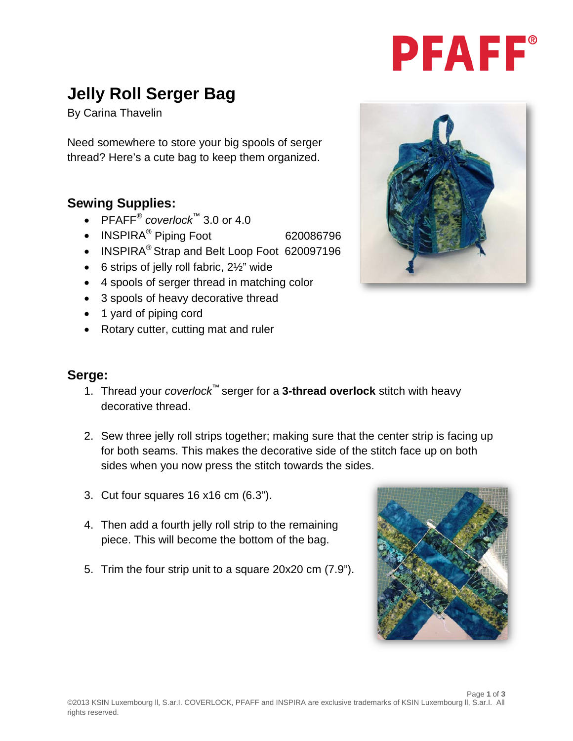

# **Jelly Roll Serger Bag**

By Carina Thavelin

Need somewhere to store your big spools of serger thread? Here's a cute bag to keep them organized.

## **Sewing Supplies:**

- PFAFF® *coverlock™* 3.0 or 4.0
- INSPIRA<sup>®</sup> Piping Foot 620086796
- INSPIRA<sup>®</sup> Strap and Belt Loop Foot 620097196
- 6 strips of jelly roll fabric, 2½" wide
- 4 spools of serger thread in matching color
- 3 spools of heavy decorative thread
- 1 yard of piping cord
- Rotary cutter, cutting mat and ruler

#### **Serge:**

- 1. Thread your *coverlock™* serger for a **3-thread overlock** stitch with heavy decorative thread.
- 2. Sew three jelly roll strips together; making sure that the center strip is facing up for both seams. This makes the decorative side of the stitch face up on both sides when you now press the stitch towards the sides.
- 3. Cut four squares 16 x16 cm (6.3").
- 4. Then add a fourth jelly roll strip to the remaining piece. This will become the bottom of the bag.
- 5. Trim the four strip unit to a square 20x20 cm (7.9").



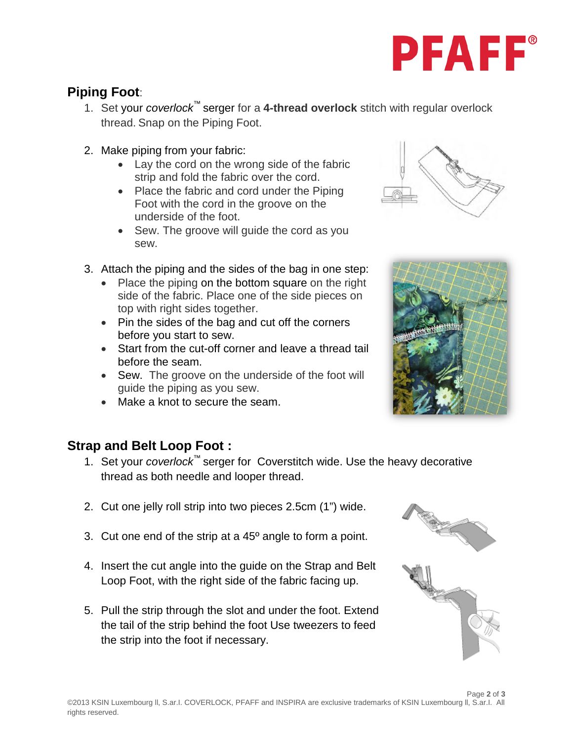

## **Piping Foot**:

- 1. Set your *coverlock™* serger for a **4-thread overlock** stitch with regular overlock thread. Snap on the Piping Foot.
- 2. Make piping from your fabric:
	- Lay the cord on the wrong side of the fabric strip and fold the fabric over the cord.
	- Place the fabric and cord under the Piping Foot with the cord in the groove on the underside of the foot.
	- Sew. The groove will quide the cord as you sew.
- 3. Attach the piping and the sides of the bag in one step:
	- Place the piping on the bottom square on the right side of the fabric. Place one of the side pieces on top with right sides together.
	- Pin the sides of the bag and cut off the corners before you start to sew.
	- Start from the cut-off corner and leave a thread tail before the seam.
	- Sew. The groove on the underside of the foot will guide the piping as you sew.
	- Make a knot to secure the seam.





#### **Strap and Belt Loop Foot :**

- 1. Set your *coverlock™* serger for Coverstitch wide. Use the heavy decorative thread as both needle and looper thread.
- 2. Cut one jelly roll strip into two pieces 2.5cm (1") wide.
- 3. Cut one end of the strip at a  $45^{\circ}$  angle to form a point.
- 4. Insert the cut angle into the guide on the Strap and Belt Loop Foot, with the right side of the fabric facing up.
- 5. Pull the strip through the slot and under the foot. Extend the tail of the strip behind the foot Use tweezers to feed the strip into the foot if necessary.